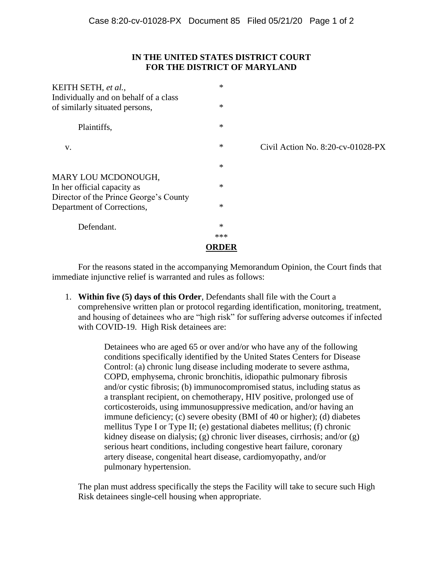## **IN THE UNITED STATES DISTRICT COURT FOR THE DISTRICT OF MARYLAND**

| KEITH SETH, et al.,<br>Individually and on behalf of a class<br>of similarly situated persons, | $\ast$<br>$\ast$ |                                      |
|------------------------------------------------------------------------------------------------|------------------|--------------------------------------|
| Plaintiffs,                                                                                    | $\ast$           |                                      |
| V.                                                                                             | $\ast$           | Civil Action No. $8:20$ -cv-01028-PX |
|                                                                                                | $\ast$           |                                      |
| MARY LOU MCDONOUGH,<br>In her official capacity as<br>Director of the Prince George's County   | $\ast$           |                                      |
| Department of Corrections,                                                                     | $\ast$           |                                      |
| Defendant.                                                                                     | $\ast$<br>***    |                                      |
|                                                                                                |                  |                                      |

For the reasons stated in the accompanying Memorandum Opinion, the Court finds that immediate injunctive relief is warranted and rules as follows:

1. **Within five (5) days of this Order**, Defendants shall file with the Court a comprehensive written plan or protocol regarding identification, monitoring, treatment, and housing of detainees who are "high risk" for suffering adverse outcomes if infected with COVID-19. High Risk detainees are:

> Detainees who are aged 65 or over and/or who have any of the following conditions specifically identified by the United States Centers for Disease Control: (a) chronic lung disease including moderate to severe asthma, COPD, emphysema, chronic bronchitis, idiopathic pulmonary fibrosis and/or cystic fibrosis; (b) immunocompromised status, including status as a transplant recipient, on chemotherapy, HIV positive, prolonged use of corticosteroids, using immunosuppressive medication, and/or having an immune deficiency; (c) severe obesity (BMI of 40 or higher); (d) diabetes mellitus Type I or Type II; (e) gestational diabetes mellitus; (f) chronic kidney disease on dialysis; (g) chronic liver diseases, cirrhosis; and/or (g) serious heart conditions, including congestive heart failure, coronary artery disease, congenital heart disease, cardiomyopathy, and/or pulmonary hypertension.

The plan must address specifically the steps the Facility will take to secure such High Risk detainees single-cell housing when appropriate.